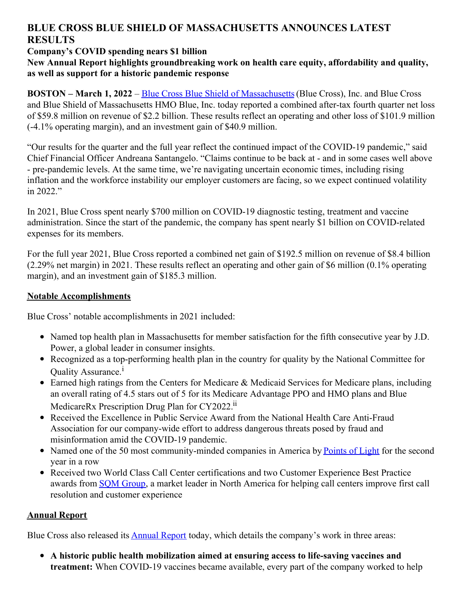# **BLUE CROSS BLUE SHIELD OF MASSACHUSETTS ANNOUNCES LATEST RESULTS**

# **Company's COVID spending nears \$1 billion**

## **New Annual Report highlights groundbreaking work on health care equity, affordability and quality, as well as support for a historic pandemic response**

**BOSTON – March 1, 2022** – Blue Cross Blue Shield of [Massachusetts](http://www.bluecrossma.org/)(Blue Cross), Inc. and Blue Cross and Blue Shield of Massachusetts HMO Blue, Inc. today reported a combined after-tax fourth quarter net loss of \$59.8 million on revenue of \$2.2 billion. These results reflect an operating and other loss of \$101.9 million (-4.1% operating margin), and an investment gain of \$40.9 million.

"Our results for the quarter and the full year reflect the continued impact of the COVID-19 pandemic," said Chief Financial Officer Andreana Santangelo. "Claims continue to be back at - and in some cases well above - pre-pandemic levels. At the same time, we're navigating uncertain economic times, including rising inflation and the workforce instability our employer customers are facing, so we expect continued volatility in 2022."

In 2021, Blue Cross spent nearly \$700 million on COVID-19 diagnostic testing, treatment and vaccine administration. Since the start of the pandemic, the company has spent nearly \$1 billion on COVID-related expenses for its members.

For the full year 2021, Blue Cross reported a combined net gain of \$192.5 million on revenue of \$8.4 billion (2.29% net margin) in 2021. These results reflect an operating and other gain of \$6 million (0.1% operating margin), and an investment gain of \$185.3 million.

# **Notable Accomplishments**

Blue Cross' notable accomplishments in 2021 included:

- Named top health plan in Massachusetts for member satisfaction for the fifth consecutive year by J.D. Power, a global leader in consumer insights.
- Recognized as a top-performing health plan in the country for quality by the National Committee for Quality Assurance.<sup>i</sup>
- $\bullet$  Earned high ratings from the Centers for Medicare & Medicaid Services for Medicare plans, including an overall rating of 4.5 stars out of 5 for its Medicare Advantage PPO and HMO plans and Blue MedicareRx Prescription Drug Plan for CY2022.<sup>ii</sup>
- Received the Excellence in Public Service Award from the National Health Care Anti-Fraud Association for our company-wide effort to address dangerous threats posed by fraud and misinformation amid the COVID-19 pandemic.
- Named one of the 50 most community-minded companies in America by [Points](https://www.pointsoflight.org/) of Light for the second year in a row
- Received two World Class Call Center certifications and two Customer Experience Best Practice awards from SQM [Group](https://www.sqmgroup.com/), a market leader in North America for helping call centers improve first call resolution and customer experience

## **Annual Report**

Blue Cross also released its **[Annual](https://www.bluecrossma.org/about-us/annual-report/2021?cid=pri1750) Report** today, which details the company's work in three areas:

**A historic public health mobilization aimed at ensuring access to life-saving vaccines and treatment:** When COVID-19 vaccines became available, every part of the company worked to help